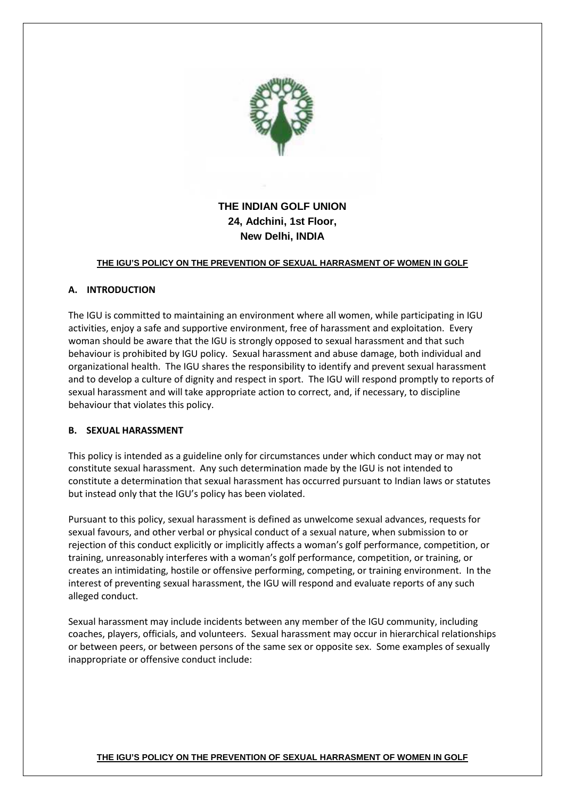

# **THE INDIAN GOLF UNION 24, Adchini, 1st Floor, New Delhi, INDIA**

## **THE IGU'S POLICY ON THE PREVENTION OF SEXUAL HARRASMENT OF WOMEN IN GOLF**

## **A. INTRODUCTION**

The IGU is committed to maintaining an environment where all women, while participating in IGU activities, enjoy a safe and supportive environment, free of harassment and exploitation. Every woman should be aware that the IGU is strongly opposed to sexual harassment and that such behaviour is prohibited by IGU policy. Sexual harassment and abuse damage, both individual and organizational health. The IGU shares the responsibility to identify and prevent sexual harassment and to develop a culture of dignity and respect in sport. The IGU will respond promptly to reports of sexual harassment and will take appropriate action to correct, and, if necessary, to discipline behaviour that violates this policy.

#### **B. SEXUAL HARASSMENT**

This policy is intended as a guideline only for circumstances under which conduct may or may not constitute sexual harassment. Any such determination made by the IGU is not intended to constitute a determination that sexual harassment has occurred pursuant to Indian laws or statutes but instead only that the IGU's policy has been violated.

Pursuant to this policy, sexual harassment is defined as unwelcome sexual advances, requests for sexual favours, and other verbal or physical conduct of a sexual nature, when submission to or rejection of this conduct explicitly or implicitly affects a woman's golf performance, competition, or training, unreasonably interferes with a woman's golf performance, competition, or training, or creates an intimidating, hostile or offensive performing, competing, or training environment. In the interest of preventing sexual harassment, the IGU will respond and evaluate reports of any such alleged conduct.

Sexual harassment may include incidents between any member of the IGU community, including coaches, players, officials, and volunteers. Sexual harassment may occur in hierarchical relationships or between peers, or between persons of the same sex or opposite sex. Some examples of sexually inappropriate or offensive conduct include: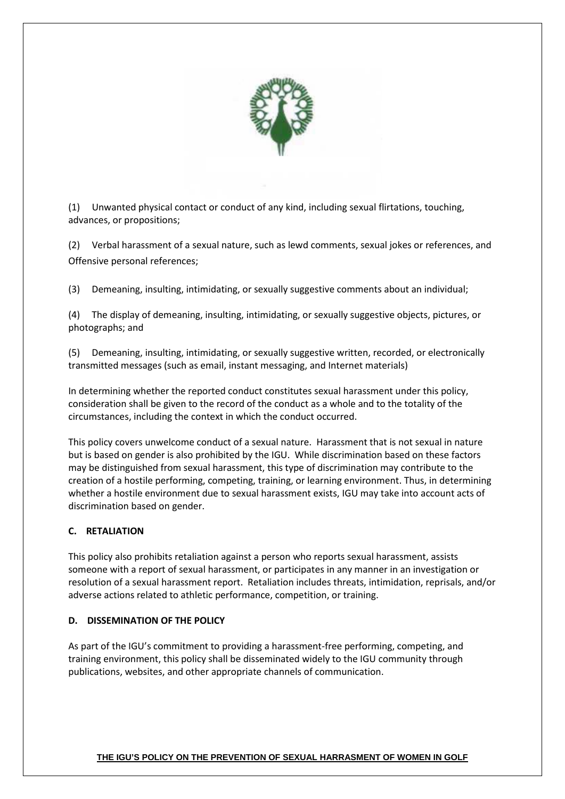

(1) Unwanted physical contact or conduct of any kind, including sexual flirtations, touching, advances, or propositions;

(2) Verbal harassment of a sexual nature, such as lewd comments, sexual jokes or references, and Offensive personal references;

(3) Demeaning, insulting, intimidating, or sexually suggestive comments about an individual;

(4) The display of demeaning, insulting, intimidating, or sexually suggestive objects, pictures, or photographs; and

(5) Demeaning, insulting, intimidating, or sexually suggestive written, recorded, or electronically transmitted messages (such as email, instant messaging, and Internet materials)

In determining whether the reported conduct constitutes sexual harassment under this policy, consideration shall be given to the record of the conduct as a whole and to the totality of the circumstances, including the context in which the conduct occurred.

This policy covers unwelcome conduct of a sexual nature. Harassment that is not sexual in nature but is based on gender is also prohibited by the IGU. While discrimination based on these factors may be distinguished from sexual harassment, this type of discrimination may contribute to the creation of a hostile performing, competing, training, or learning environment. Thus, in determining whether a hostile environment due to sexual harassment exists, IGU may take into account acts of discrimination based on gender.

# **C. RETALIATION**

This policy also prohibits retaliation against a person who reports sexual harassment, assists someone with a report of sexual harassment, or participates in any manner in an investigation or resolution of a sexual harassment report. Retaliation includes threats, intimidation, reprisals, and/or adverse actions related to athletic performance, competition, or training.

# **D. DISSEMINATION OF THE POLICY**

As part of the IGU's commitment to providing a harassment-free performing, competing, and training environment, this policy shall be disseminated widely to the IGU community through publications, websites, and other appropriate channels of communication.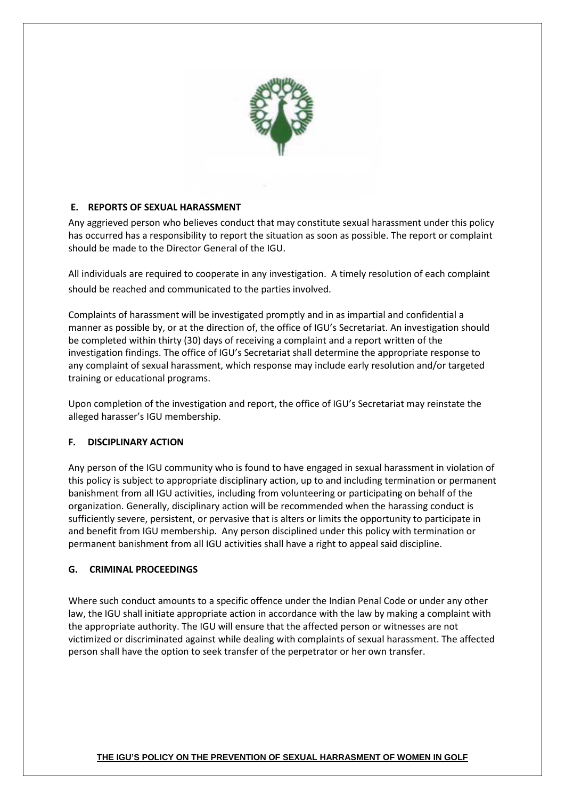

# **E. REPORTS OF SEXUAL HARASSMENT**

Any aggrieved person who believes conduct that may constitute sexual harassment under this policy has occurred has a responsibility to report the situation as soon as possible. The report or complaint should be made to the Director General of the IGU.

All individuals are required to cooperate in any investigation. A timely resolution of each complaint should be reached and communicated to the parties involved.

Complaints of harassment will be investigated promptly and in as impartial and confidential a manner as possible by, or at the direction of, the office of IGU's Secretariat. An investigation should be completed within thirty (30) days of receiving a complaint and a report written of the investigation findings. The office of IGU's Secretariat shall determine the appropriate response to any complaint of sexual harassment, which response may include early resolution and/or targeted training or educational programs.

Upon completion of the investigation and report, the office of IGU's Secretariat may reinstate the alleged harasser's IGU membership.

# **F. DISCIPLINARY ACTION**

Any person of the IGU community who is found to have engaged in sexual harassment in violation of this policy is subject to appropriate disciplinary action, up to and including termination or permanent banishment from all IGU activities, including from volunteering or participating on behalf of the organization. Generally, disciplinary action will be recommended when the harassing conduct is sufficiently severe, persistent, or pervasive that is alters or limits the opportunity to participate in and benefit from IGU membership. Any person disciplined under this policy with termination or permanent banishment from all IGU activities shall have a right to appeal said discipline.

# **G. CRIMINAL PROCEEDINGS**

Where such conduct amounts to a specific offence under the Indian Penal Code or under any other law, the IGU shall initiate appropriate action in accordance with the law by making a complaint with the appropriate authority. The IGU will ensure that the affected person or witnesses are not victimized or discriminated against while dealing with complaints of sexual harassment. The affected person shall have the option to seek transfer of the perpetrator or her own transfer.